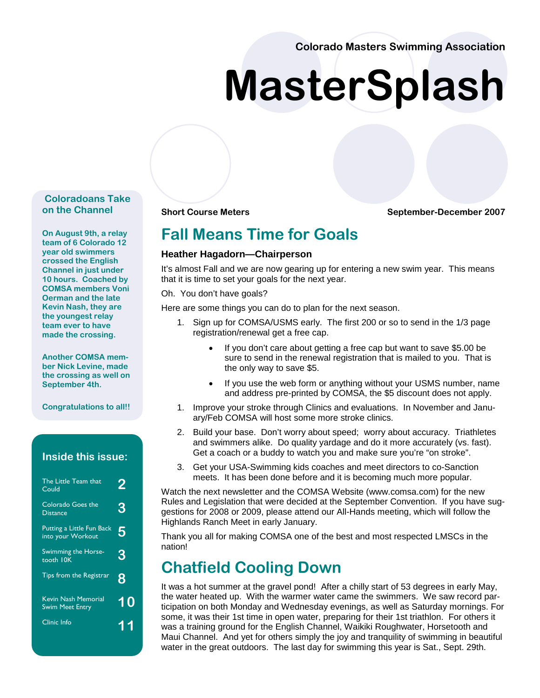**Colorado Masters Swimming Association** 

# **MasterSplash**

#### **Coloradoans Take on the Channel**

**On August 9th, a relay team of 6 Colorado 12 year old swimmers crossed the English Channel in just under 10 hours. Coached by COMSA members Voni Oerman and the late Kevin Nash, they are the youngest relay team ever to have made the crossing.** 

**Another COMSA member Nick Levine, made the crossing as well on September 4th.** 

**Congratulations to all!!**

#### **Inside this issue:**

| The Little Team that<br>Could                  | 2  |
|------------------------------------------------|----|
| Colorado Goes the<br><b>Distance</b>           | 3  |
| Putting a Little Fun Back<br>into your Workout | 5  |
| Swimming the Horse-<br>tooth IOK               | 3  |
| Tips from the Registrar                        | 8  |
| Kevin Nash Memorial<br>Swim Meet Entry         | 10 |
| Clinic Info                                    | 11 |

**Short Course Meters September-December 2007** 

### **Fall Means Time for Goals**

#### **Heather Hagadorn—Chairperson**

It's almost Fall and we are now gearing up for entering a new swim year. This means that it is time to set your goals for the next year.

Oh. You don't have goals?

Here are some things you can do to plan for the next season.

- 1. Sign up for COMSA/USMS early. The first 200 or so to send in the 1/3 page registration/renewal get a free cap.
	- If you don't care about getting a free cap but want to save \$5.00 be sure to send in the renewal registration that is mailed to you. That is the only way to save \$5.
	- If you use the web form or anything without your USMS number, name and address pre-printed by COMSA, the \$5 discount does not apply.
- 1. Improve your stroke through Clinics and evaluations. In November and January/Feb COMSA will host some more stroke clinics.
- 2. Build your base. Don't worry about speed; worry about accuracy. Triathletes and swimmers alike. Do quality yardage and do it more accurately (vs. fast). Get a coach or a buddy to watch you and make sure you're "on stroke".
- 3. Get your USA-Swimming kids coaches and meet directors to co-Sanction meets. It has been done before and it is becoming much more popular.

Watch the next newsletter and the COMSA Website (www.comsa.com) for the new Rules and Legislation that were decided at the September Convention. If you have suggestions for 2008 or 2009, please attend our All-Hands meeting, which will follow the Highlands Ranch Meet in early January.

Thank you all for making COMSA one of the best and most respected LMSCs in the nation!

### **Chatfield Cooling Down**

It was a hot summer at the gravel pond! After a chilly start of 53 degrees in early May, the water heated up. With the warmer water came the swimmers. We saw record participation on both Monday and Wednesday evenings, as well as Saturday mornings. For some, it was their 1st time in open water, preparing for their 1st triathlon. For others it was a training ground for the English Channel, Waikiki Roughwater, Horsetooth and Maui Channel. And yet for others simply the joy and tranquility of swimming in beautiful water in the great outdoors. The last day for swimming this year is Sat., Sept. 29th.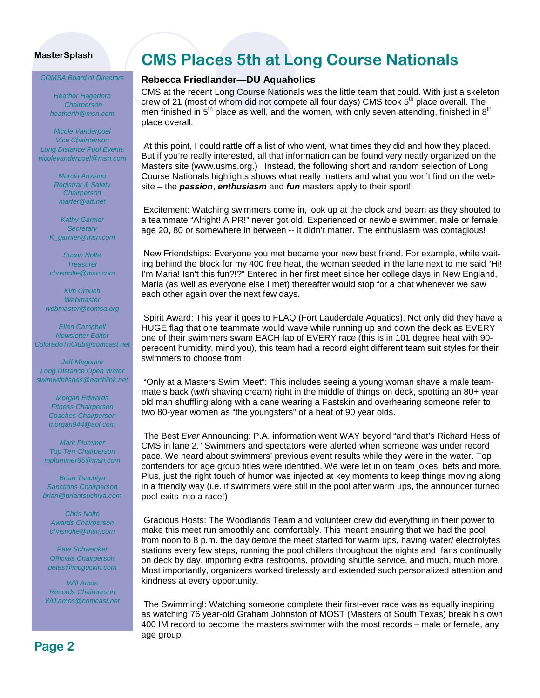*COMSA Board of Directors* 

*Heather Hagadorn Chairperson heatherlh@msn.com* 

*Nicole Vanderpoel Vice Chairperson Long Distance Pool Events nicolevanderpoel@msn.com* 

> *Marcia Anziano Registrar & Safety Chairperson marfer@att.net*

*Kathy Garnier Secretary K\_garnier@msn.com* 

*Susan Nolte Treasurer chrisnolte@msn.com* 

*Kim Crouch Webmaster webmaster@comsa.org* 

*Ellen Campbell Newsletter Editor ColoradoTriClub@comcast.net* 

*Jeff Magouirk Long Distance Open Water swimwithfishes@earthlink.net* 

> *Morgan Edwards Fitness Chairperson Coaches Chairperson morgan944@aol.com*

*Mark Plummer Top Ten Chairperson mplummer65@msn.com* 

*Brian Tsuchiya Sanctions Chairperson brian@briantsuchiya.com* 

*Chris Nolte Awards Chairperson chrisnolte@msn.com* 

*Pete Schwenker Officials Chairperson petes@mcguckin.com* 

*Will Amos Records Chairperson Will.amos@comcast.net*

# **CMS Places 5th at Long Course Nationals**

#### **Rebecca Friedlander—DU Aquaholics**

CMS at the recent Long Course Nationals was the little team that could. With just a skeleton crew of 21 (most of whom did not compete all four days) CMS took  $5<sup>th</sup>$  place overall. The men finished in  $5<sup>th</sup>$  place as well, and the women, with only seven attending, finished in  $8<sup>th</sup>$ place overall.

At this point, I could rattle off a list of who went, what times they did and how they placed. But if you're really interested, all that information can be found very neatly organized on the Masters site (www.usms.org.) Instead, the following short and random selection of Long Course Nationals highlights shows what really matters and what you won't find on the website – the *passion*, *enthusiasm* and *fun* masters apply to their sport!

Excitement: Watching swimmers come in, look up at the clock and beam as they shouted to a teammate "Alright! A PR!" never got old. Experienced or newbie swimmer, male or female, age 20, 80 or somewhere in between -- it didn't matter. The enthusiasm was contagious!

New Friendships: Everyone you met became your new best friend. For example, while waiting behind the block for my 400 free heat, the woman seeded in the lane next to me said "Hi! I'm Maria! Isn't this fun?!?" Entered in her first meet since her college days in New England, Maria (as well as everyone else I met) thereafter would stop for a chat whenever we saw each other again over the next few days.

Spirit Award: This year it goes to FLAQ (Fort Lauderdale Aquatics). Not only did they have a HUGE flag that one teammate would wave while running up and down the deck as EVERY one of their swimmers swam EACH lap of EVERY race (this is in 101 degree heat with 90 perecent humidity, mind you), this team had a record eight different team suit styles for their swimmers to choose from.

"Only at a Masters Swim Meet": This includes seeing a young woman shave a male teammate's back (*with* shaving cream) right in the middle of things on deck, spotting an 80+ year old man shuffling along with a cane wearing a Fastskin and overhearing someone refer to two 80-year women as "the youngsters" of a heat of 90 year olds.

The Best *Ever* Announcing: P.A. information went WAY beyond "and that's Richard Hess of CMS in lane 2." Swimmers and spectators were alerted when someone was under record pace. We heard about swimmers' previous event results while they were in the water. Top contenders for age group titles were identified. We were let in on team jokes, bets and more. Plus, just the right touch of humor was injected at key moments to keep things moving along in a friendly way (i.e. if swimmers were still in the pool after warm ups, the announcer turned pool exits into a race!)

Gracious Hosts: The Woodlands Team and volunteer crew did everything in their power to make this meet run smoothly and comfortably. This meant ensuring that we had the pool from noon to 8 p.m. the day *before* the meet started for warm ups, having water/ electrolytes stations every few steps, running the pool chillers throughout the nights and fans continually on deck by day, importing extra restrooms, providing shuttle service, and much, much more. Most importantly, organizers worked tirelessly and extended such personalized attention and kindness at every opportunity.

The Swimming!: Watching someone complete their first-ever race was as equally inspiring as watching 76 year-old Graham Johnston of MOST (Masters of South Texas) break his own 400 IM record to become the masters swimmer with the most records – male or female, any age group.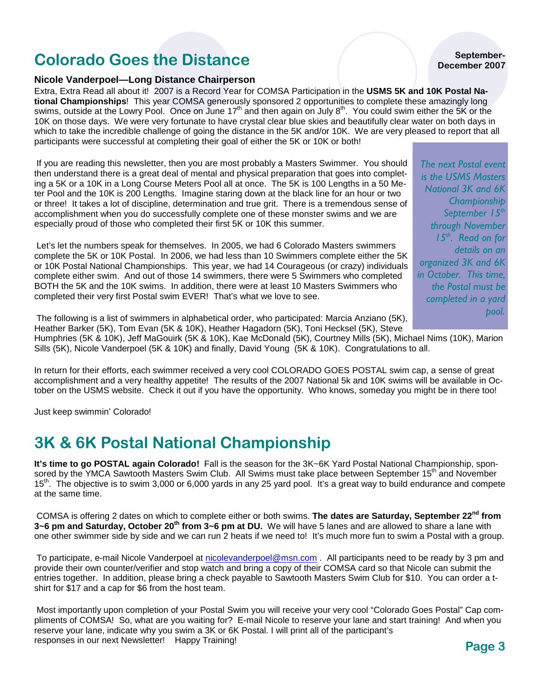### **Page 3**

**September-December 2007** 

### **Colorado Goes the Distance**

### **Nicole Vanderpoel—Long Distance Chairperson**

Extra, Extra Read all about it! 2007 is a Record Year for COMSA Participation in the **USMS 5K and 10K Postal National Championships**! This year COMSA generously sponsored 2 opportunities to complete these amazingly long swims, outside at the Lowry Pool. Once on June 17<sup>th</sup> and then again on July 8<sup>th</sup>. You could swim either the 5K or the 10K on those days. We were very fortunate to have crystal clear blue skies and beautifully clear water on both days in which to take the incredible challenge of going the distance in the 5K and/or 10K. We are very pleased to report that all participants were successful at completing their goal of either the 5K or 10K or both!

If you are reading this newsletter, then you are most probably a Masters Swimmer. You should then understand there is a great deal of mental and physical preparation that goes into completing a 5K or a 10K in a Long Course Meters Pool all at once. The 5K is 100 Lengths in a 50 Meter Pool and the 10K is 200 Lengths. Imagine staring down at the black line for an hour or two or three! It takes a lot of discipline, determination and true grit. There is a tremendous sense of accomplishment when you do successfully complete one of these monster swims and we are especially proud of those who completed their first 5K or 10K this summer.

Let's let the numbers speak for themselves. In 2005, we had 6 Colorado Masters swimmers complete the 5K or 10K Postal. In 2006, we had less than 10 Swimmers complete either the 5K or 10K Postal National Championships. This year, we had 14 Courageous (or crazy) individuals complete either swim. And out of those 14 swimmers, there were 5 Swimmers who completed BOTH the 5K and the 10K swims. In addition, there were at least 10 Masters Swimmers who completed their very first Postal swim EVER! That's what we love to see.

*National 3K and 6K Championship September 15th through November 15th. Read on for details on an organized 3K and 6K in October. This time, the Postal must be completed in a yard pool.* 

*The next Postal event is the USMS Masters* 

The following is a list of swimmers in alphabetical order, who participated: Marcia Anziano (5K), Heather Barker (5K), Tom Evan (5K & 10K), Heather Hagadorn (5K), Toni Hecksel (5K), Steve

Humphries (5K & 10K), Jeff MaGouirk (5K & 10K), Kae McDonald (5K), Courtney Mills (5K), Michael Nims (10K), Marion Sills (5K), Nicole Vanderpoel (5K & 10K) and finally, David Young (5K & 10K). Congratulations to all.

In return for their efforts, each swimmer received a very cool COLORADO GOES POSTAL swim cap, a sense of great accomplishment and a very healthy appetite! The results of the 2007 National 5k and 10K swims will be available in October on the USMS website. Check it out if you have the opportunity. Who knows, someday you might be in there too!

Just keep swimmin' Colorado!

# **3K & 6K Postal National Championship**

**It's time to go POSTAL again Colorado!** Fall is the season for the 3K~6K Yard Postal National Championship, sponsored by the YMCA Sawtooth Masters Swim Club. All Swims must take place between September 15<sup>th</sup> and November 15<sup>th</sup>. The objective is to swim 3,000 or 6,000 yards in any 25 yard pool. It's a great way to build endurance and compete at the same time.

COMSA is offering 2 dates on which to complete either or both swims. **The dates are Saturday, September 22nd from 3~6 pm and Saturday, October 20th from 3~6 pm at DU.** We will have 5 lanes and are allowed to share a lane with one other swimmer side by side and we can run 2 heats if we need to! It's much more fun to swim a Postal with a group.

To participate, e-mail Nicole Vanderpoel at nicolevanderpoel@msn.com . All participants need to be ready by 3 pm and provide their own counter/verifier and stop watch and bring a copy of their COMSA card so that Nicole can submit the entries together. In addition, please bring a check payable to Sawtooth Masters Swim Club for \$10. You can order a tshirt for \$17 and a cap for \$6 from the host team.

Most importantly upon completion of your Postal Swim you will receive your very cool "Colorado Goes Postal" Cap compliments of COMSA! So, what are you waiting for? E-mail Nicole to reserve your lane and start training! And when you reserve your lane, indicate why you swim a 3K or 6K Postal. I will print all of the participant's responses in our next Newsletter! Happy Training!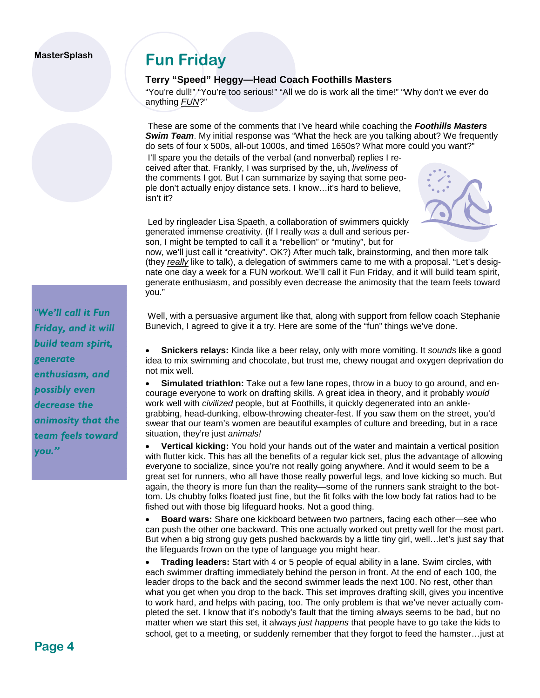# **Fun Friday**

#### **Terry "Speed" Heggy—Head Coach Foothills Masters**

"You're dull!" "You're too serious!" "All we do is work all the time!" "Why don't we ever do anything *FUN*?"

 These are some of the comments that I've heard while coaching the *Foothills Masters*  **Swim Team.** My initial response was "What the heck are you talking about? We frequently do sets of four x 500s, all-out 1000s, and timed 1650s? What more could you want?"

 I'll spare you the details of the verbal (and nonverbal) replies I received after that. Frankly, I was surprised by the, uh, *liveliness* of the comments I got. But I can summarize by saying that some people don't actually enjoy distance sets. I know…it's hard to believe, isn't it?



 Led by ringleader Lisa Spaeth, a collaboration of swimmers quickly generated immense creativity. (If I really *was* a dull and serious person, I might be tempted to call it a "rebellion" or "mutiny", but for

now, we'll just call it "creativity". OK?) After much talk, brainstorming, and then more talk (they *really* like to talk), a delegation of swimmers came to me with a proposal. "Let's designate one day a week for a FUN workout. We'll call it Fun Friday, and it will build team spirit, generate enthusiasm, and possibly even decrease the animosity that the team feels toward you."

 Well, with a persuasive argument like that, along with support from fellow coach Stephanie Bunevich, I agreed to give it a try. Here are some of the "fun" things we've done.

• **Snickers relays:** Kinda like a beer relay, only with more vomiting. It *sounds* like a good idea to mix swimming and chocolate, but trust me, chewy nougat and oxygen deprivation do not mix well.

• **Simulated triathlon:** Take out a few lane ropes, throw in a buoy to go around, and encourage everyone to work on drafting skills. A great idea in theory, and it probably *would*  work well with *civilized* people, but at Foothills, it quickly degenerated into an anklegrabbing, head-dunking, elbow-throwing cheater-fest. If you saw them on the street, you'd swear that our team's women are beautiful examples of culture and breeding, but in a race situation, they're just *animals!*

• **Vertical kicking:** You hold your hands out of the water and maintain a vertical position with flutter kick. This has all the benefits of a regular kick set, plus the advantage of allowing everyone to socialize, since you're not really going anywhere. And it would seem to be a great set for runners, who all have those really powerful legs, and love kicking so much. But again, the theory is more fun than the reality—some of the runners sank straight to the bottom. Us chubby folks floated just fine, but the fit folks with the low body fat ratios had to be fished out with those big lifeguard hooks. Not a good thing.

• **Board wars:** Share one kickboard between two partners, facing each other—see who can push the other one backward. This one actually worked out pretty well for the most part. But when a big strong guy gets pushed backwards by a little tiny girl, well…let's just say that the lifeguards frown on the type of language you might hear.

• **Trading leaders:** Start with 4 or 5 people of equal ability in a lane. Swim circles, with each swimmer drafting immediately behind the person in front. At the end of each 100, the leader drops to the back and the second swimmer leads the next 100. No rest, other than what you get when you drop to the back. This set improves drafting skill, gives you incentive to work hard, and helps with pacing, too. The only problem is that we've never actually completed the set. I know that it's nobody's fault that the timing always seems to be bad, but no matter when we start this set, it always *just happens* that people have to go take the kids to school, get to a meeting, or suddenly remember that they forgot to feed the hamster…just at

*"We'll call it Fun Friday, and it will build team spirit, generate enthusiasm, and possibly even decrease the animosity that the team feels toward you."*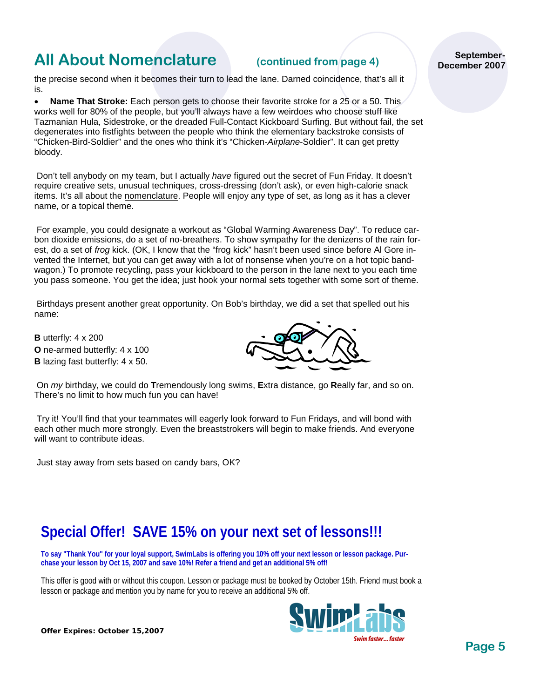### **All About Nomenclature (continued from page 4)**

the precise second when it becomes their turn to lead the lane. Darned coincidence, that's all it is.

• **Name That Stroke:** Each person gets to choose their favorite stroke for a 25 or a 50. This works well for 80% of the people, but you'll always have a few weirdoes who choose stuff like Tazmanian Hula, Sidestroke, or the dreaded Full-Contact Kickboard Surfing. But without fail, the set degenerates into fistfights between the people who think the elementary backstroke consists of "Chicken-Bird-Soldier" and the ones who think it's "Chicken-*Airplane*-Soldier". It can get pretty bloody.

 Don't tell anybody on my team, but I actually *have* figured out the secret of Fun Friday. It doesn't require creative sets, unusual techniques, cross-dressing (don't ask), or even high-calorie snack items. It's all about the nomenclature. People will enjoy any type of set, as long as it has a clever name, or a topical theme.

 For example, you could designate a workout as "Global Warming Awareness Day". To reduce carbon dioxide emissions, do a set of no-breathers. To show sympathy for the denizens of the rain forest, do a set of *frog* kick. (OK, I know that the "frog kick" hasn't been used since before Al Gore invented the Internet, but you can get away with a lot of nonsense when you're on a hot topic bandwagon.) To promote recycling, pass your kickboard to the person in the lane next to you each time you pass someone. You get the idea; just hook your normal sets together with some sort of theme.

 Birthdays present another great opportunity. On Bob's birthday, we did a set that spelled out his name:

**B** utterfly: 4 x 200 **O** ne-armed butterfly: 4 x 100 **B** lazing fast butterfly: 4 x 50.



 On *my* birthday, we could do **T**remendously long swims, **E**xtra distance, go **R**eally far, and so on. There's no limit to how much fun you can have!

 Try it! You'll find that your teammates will eagerly look forward to Fun Fridays, and will bond with each other much more strongly. Even the breaststrokers will begin to make friends. And everyone will want to contribute ideas.

Just stay away from sets based on candy bars, OK?

### **Special Offer! SAVE 15% on your next set of lessons!!!**

**To say "Thank You" for your loyal support, SwimLabs is offering you 10% off your next lesson or lesson package. Purchase your lesson by Oct 15, 2007 and save 10%! Refer a friend and get an additional 5% off!**

This offer is good with or without this coupon. Lesson or package must be booked by October 15th. Friend must book a lesson or package and mention you by name for you to receive an additional 5% off.



**September-December 2007** 

**Offer Expires: October 15,2007**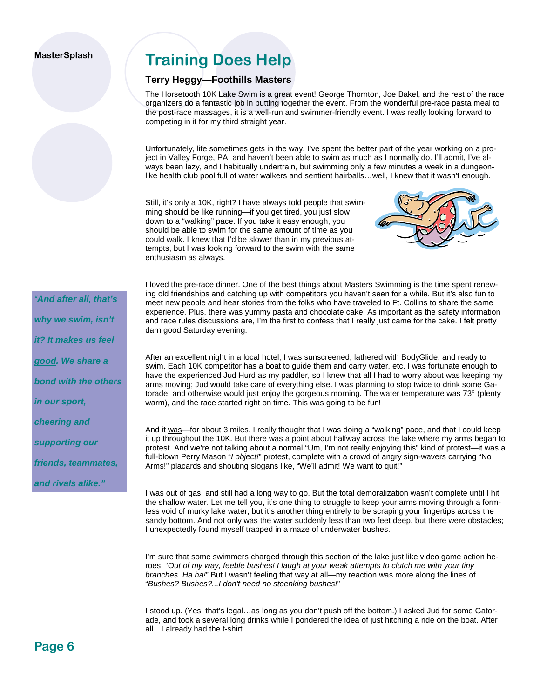### **Training Does Help**

#### **Terry Heggy—Foothills Masters**

The Horsetooth 10K Lake Swim is a great event! George Thornton, Joe Bakel, and the rest of the race organizers do a fantastic job in putting together the event. From the wonderful pre-race pasta meal to the post-race massages, it is a well-run and swimmer-friendly event. I was really looking forward to competing in it for my third straight year.

Unfortunately, life sometimes gets in the way. I've spent the better part of the year working on a project in Valley Forge, PA, and haven't been able to swim as much as I normally do. I'll admit, I've always been lazy, and I habitually undertrain, but swimming only a few minutes a week in a dungeonlike health club pool full of water walkers and sentient hairballs…well, I knew that it wasn't enough.

Still, it's only a 10K, right? I have always told people that swimming should be like running—if you get tired, you just slow down to a "walking" pace. If you take it easy enough, you should be able to swim for the same amount of time as you could walk. I knew that I'd be slower than in my previous attempts, but I was looking forward to the swim with the same enthusiasm as always.



I loved the pre-race dinner. One of the best things about Masters Swimming is the time spent renewing old friendships and catching up with competitors you haven't seen for a while. But it's also fun to meet new people and hear stories from the folks who have traveled to Ft. Collins to share the same experience. Plus, there was yummy pasta and chocolate cake. As important as the safety information and race rules discussions are, I'm the first to confess that I really just came for the cake. I felt pretty darn good Saturday evening.

After an excellent night in a local hotel, I was sunscreened, lathered with BodyGlide, and ready to swim. Each 10K competitor has a boat to guide them and carry water, etc. I was fortunate enough to have the experienced Jud Hurd as my paddler, so I knew that all I had to worry about was keeping my arms moving; Jud would take care of everything else. I was planning to stop twice to drink some Gatorade, and otherwise would just enjoy the gorgeous morning. The water temperature was 73° (plenty warm), and the race started right on time. This was going to be fun!

And it was—for about 3 miles. I really thought that I was doing a "walking" pace, and that I could keep it up throughout the 10K. But there was a point about halfway across the lake where my arms began to protest. And we're not talking about a normal "Um, I'm not really enjoying this" kind of protest—it was a full-blown Perry Mason "*I object!*" protest, complete with a crowd of angry sign-wavers carrying "No Arms!" placards and shouting slogans like, "We'll admit! We want to quit!"

I was out of gas, and still had a long way to go. But the total demoralization wasn't complete until I hit the shallow water. Let me tell you, it's one thing to struggle to keep your arms moving through a formless void of murky lake water, but it's another thing entirely to be scraping your fingertips across the sandy bottom. And not only was the water suddenly less than two feet deep, but there were obstacles; I unexpectedly found myself trapped in a maze of underwater bushes.

I'm sure that some swimmers charged through this section of the lake just like video game action heroes: "*Out of my way, feeble bushes! I laugh at your weak attempts to clutch me with your tiny branches. Ha ha!*" But I wasn't feeling that way at all—my reaction was more along the lines of "*Bushes? Bushes?...I don't need no steenking bushes!*"

I stood up. (Yes, that's legal…as long as you don't push off the bottom.) I asked Jud for some Gatorade, and took a several long drinks while I pondered the idea of just hitching a ride on the boat. After all…I already had the t-shirt.

*"And after all, that's why we swim, isn't it? It makes us feel good. We share a bond with the others in our sport, cheering and supporting our friends, teammates, and rivals alike."*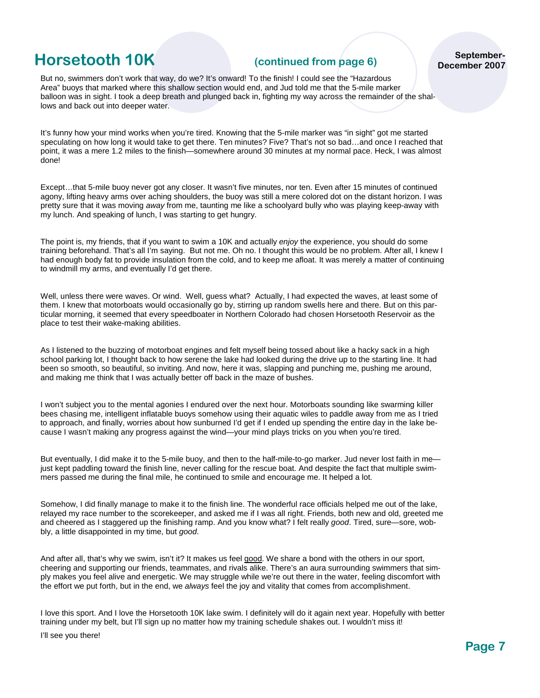### **Horsetooth 10K** (continued from page 6)

**September-December 2007** 

But no, swimmers don't work that way, do we? It's onward! To the finish! I could see the "Hazardous Area" buoys that marked where this shallow section would end, and Jud told me that the 5-mile marker balloon was in sight. I took a deep breath and plunged back in, fighting my way across the remainder of the shallows and back out into deeper water.

It's funny how your mind works when you're tired. Knowing that the 5-mile marker was "in sight" got me started speculating on how long it would take to get there. Ten minutes? Five? That's not so bad...and once I reached that point, it was a mere 1.2 miles to the finish—somewhere around 30 minutes at my normal pace. Heck, I was almost done!

Except…that 5-mile buoy never got any closer. It wasn't five minutes, nor ten. Even after 15 minutes of continued agony, lifting heavy arms over aching shoulders, the buoy was still a mere colored dot on the distant horizon. I was pretty sure that it was moving *away* from me, taunting me like a schoolyard bully who was playing keep-away with my lunch. And speaking of lunch, I was starting to get hungry.

The point is, my friends, that if you want to swim a 10K and actually *enjoy* the experience, you should do some training beforehand. That's all I'm saying. But not me. Oh no. I thought this would be no problem. After all, I knew I had enough body fat to provide insulation from the cold, and to keep me afloat. It was merely a matter of continuing to windmill my arms, and eventually I'd get there.

Well, unless there were waves. Or wind. Well, guess what? Actually, I had expected the waves, at least some of them. I knew that motorboats would occasionally go by, stirring up random swells here and there. But on this particular morning, it seemed that every speedboater in Northern Colorado had chosen Horsetooth Reservoir as the place to test their wake-making abilities.

As I listened to the buzzing of motorboat engines and felt myself being tossed about like a hacky sack in a high school parking lot, I thought back to how serene the lake had looked during the drive up to the starting line. It had been so smooth, so beautiful, so inviting. And now, here it was, slapping and punching me, pushing me around, and making me think that I was actually better off back in the maze of bushes.

I won't subject you to the mental agonies I endured over the next hour. Motorboats sounding like swarming killer bees chasing me, intelligent inflatable buoys somehow using their aquatic wiles to paddle away from me as I tried to approach, and finally, worries about how sunburned I'd get if I ended up spending the entire day in the lake because I wasn't making any progress against the wind—your mind plays tricks on you when you're tired.

But eventually, I did make it to the 5-mile buoy, and then to the half-mile-to-go marker. Jud never lost faith in me just kept paddling toward the finish line, never calling for the rescue boat. And despite the fact that multiple swimmers passed me during the final mile, he continued to smile and encourage me. It helped a lot.

Somehow, I did finally manage to make it to the finish line. The wonderful race officials helped me out of the lake, relayed my race number to the scorekeeper, and asked me if I was all right. Friends, both new and old, greeted me and cheered as I staggered up the finishing ramp. And you know what? I felt really *good*. Tired, sure—sore, wobbly, a little disappointed in my time, but *good*.

And after all, that's why we swim, isn't it? It makes us feel good. We share a bond with the others in our sport, cheering and supporting our friends, teammates, and rivals alike. There's an aura surrounding swimmers that simply makes you feel alive and energetic. We may struggle while we're out there in the water, feeling discomfort with the effort we put forth, but in the end, we *always* feel the joy and vitality that comes from accomplishment.

I love this sport. And I love the Horsetooth 10K lake swim. I definitely will do it again next year. Hopefully with better training under my belt, but I'll sign up no matter how my training schedule shakes out. I wouldn't miss it!

I'll see you there!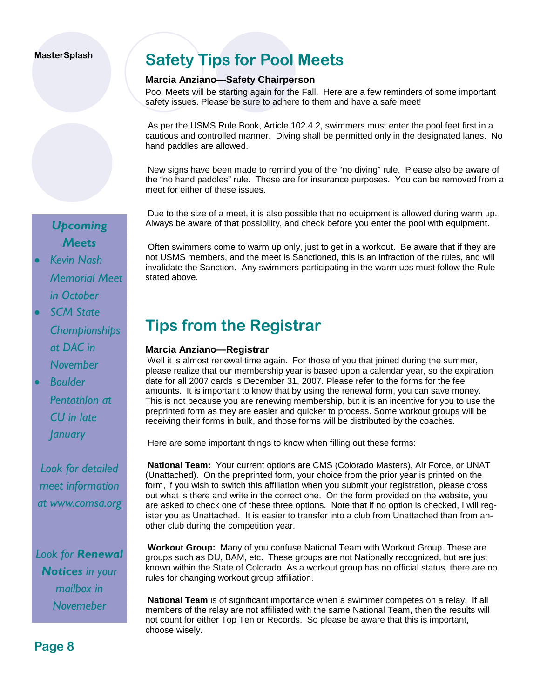### **Safety Tips for Pool Meets**

#### **Marcia Anziano—Safety Chairperson**

Pool Meets will be starting again for the Fall. Here are a few reminders of some important safety issues. Please be sure to adhere to them and have a safe meet!

 As per the USMS Rule Book, Article 102.4.2, swimmers must enter the pool feet first in a cautious and controlled manner. Diving shall be permitted only in the designated lanes. No hand paddles are allowed.

 New signs have been made to remind you of the "no diving" rule. Please also be aware of the "no hand paddles" rule. These are for insurance purposes. You can be removed from a meet for either of these issues.

 Due to the size of a meet, it is also possible that no equipment is allowed during warm up. Always be aware of that possibility, and check before you enter the pool with equipment.

*Upcoming Meets* 

- *Kevin Nash Memorial Meet in October*
- *SCM State Championships at DAC in November*
- *Boulder Pentathlon at CU in late January*

*Look for detailed meet information at www.comsa.org*

*Look for Renewal Notices in your mailbox in Novemeber* 

 Often swimmers come to warm up only, just to get in a workout. Be aware that if they are not USMS members, and the meet is Sanctioned, this is an infraction of the rules, and will invalidate the Sanction. Any swimmers participating in the warm ups must follow the Rule stated above.

### **Tips from the Registrar**

#### **Marcia Anziano—Registrar**

Well it is almost renewal time again. For those of you that joined during the summer, please realize that our membership year is based upon a calendar year, so the expiration date for all 2007 cards is December 31, 2007. Please refer to the forms for the fee amounts. It is important to know that by using the renewal form, you can save money. This is not because you are renewing membership, but it is an incentive for you to use the preprinted form as they are easier and quicker to process. Some workout groups will be receiving their forms in bulk, and those forms will be distributed by the coaches.

Here are some important things to know when filling out these forms:

**National Team:** Your current options are CMS (Colorado Masters), Air Force, or UNAT (Unattached). On the preprinted form, your choice from the prior year is printed on the form, if you wish to switch this affiliation when you submit your registration, please cross out what is there and write in the correct one. On the form provided on the website, you are asked to check one of these three options. Note that if no option is checked, I will register you as Unattached. It is easier to transfer into a club from Unattached than from another club during the competition year.

**Workout Group:** Many of you confuse National Team with Workout Group. These are groups such as DU, BAM, etc. These groups are not Nationally recognized, but are just known within the State of Colorado. As a workout group has no official status, there are no rules for changing workout group affiliation.

**National Team** is of significant importance when a swimmer competes on a relay. If all members of the relay are not affiliated with the same National Team, then the results will not count for either Top Ten or Records. So please be aware that this is important, choose wisely.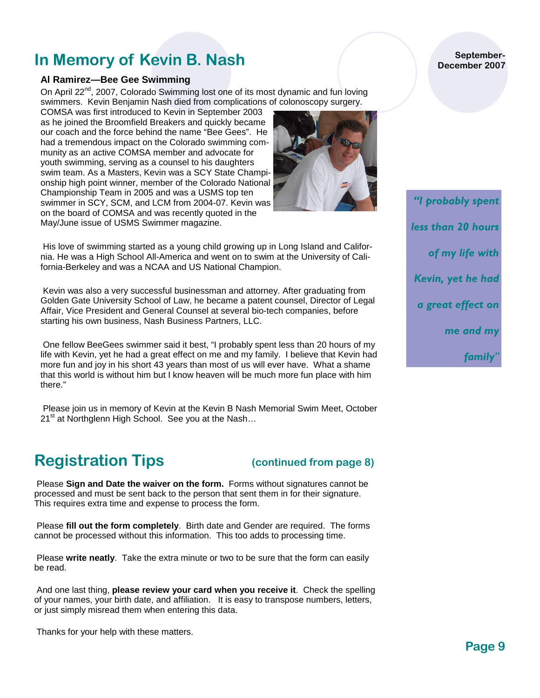### **In Memory of Kevin B. Nash**

#### **Al Ramirez—Bee Gee Swimming**

On April 22<sup>nd</sup>, 2007, Colorado Swimming lost one of its most dynamic and fun loving swimmers. Kevin Benjamin Nash died from complications of colonoscopy surgery.

COMSA was first introduced to Kevin in September 2003 as he joined the Broomfield Breakers and quickly became our coach and the force behind the name "Bee Gees". He had a tremendous impact on the Colorado swimming community as an active COMSA member and advocate for youth swimming, serving as a counsel to his daughters swim team. As a Masters, Kevin was a SCY State Championship high point winner, member of the Colorado National Championship Team in 2005 and was a USMS top ten swimmer in SCY, SCM, and LCM from 2004-07. Kevin was on the board of COMSA and was recently quoted in the May/June issue of USMS Swimmer magazine.

 His love of swimming started as a young child growing up in Long Island and California. He was a High School All-America and went on to swim at the University of California-Berkeley and was a NCAA and US National Champion.

 Kevin was also a very successful businessman and attorney. After graduating from Golden Gate University School of Law, he became a patent counsel, Director of Legal Affair, Vice President and General Counsel at several bio-tech companies, before starting his own business, Nash Business Partners, LLC.

 One fellow BeeGees swimmer said it best, "I probably spent less than 20 hours of my life with Kevin, yet he had a great effect on me and my family. I believe that Kevin had more fun and joy in his short 43 years than most of us will ever have. What a shame that this world is without him but I know heaven will be much more fun place with him there."

 Please join us in memory of Kevin at the Kevin B Nash Memorial Swim Meet, October  $21^{st}$  at Northglenn High School. See you at the Nash...

### **Registration Tips (continued from page 8)**

 Please **Sign and Date the waiver on the form.** Forms without signatures cannot be processed and must be sent back to the person that sent them in for their signature. This requires extra time and expense to process the form.

 Please **fill out the form completely**. Birth date and Gender are required. The forms cannot be processed without this information. This too adds to processing time.

 Please **write neatly**. Take the extra minute or two to be sure that the form can easily be read.

 And one last thing, **please review your card when you receive it**. Check the spelling of your names, your birth date, and affiliation. It is easy to transpose numbers, letters, or just simply misread them when entering this data.

Thanks for your help with these matters.

#### **September-December 2007**

*"I probably spent less than 20 hours of my life with Kevin, yet he had a great effect on me and my family"*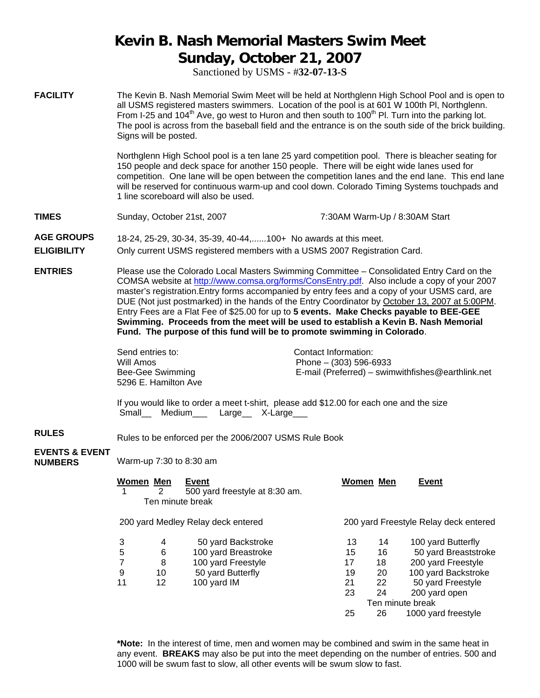### **Kevin B. Nash Memorial Masters Swim Meet Sunday, October 21, 2007**

Sanctioned by USMS - #**32-07-13-S** 

**FACILITY** The Kevin B. Nash Memorial Swim Meet will be held at Northglenn High School Pool and is open to all USMS registered masters swimmers. Location of the pool is at 601 W 100th Pl, Northglenn. From I-25 and 104<sup>th</sup> Ave, go west to Huron and then south to 100<sup>th</sup> PI. Turn into the parking lot. The pool is across from the baseball field and the entrance is on the south side of the brick building. Signs will be posted.

> Northglenn High School pool is a ten lane 25 yard competition pool. There is bleacher seating for 150 people and deck space for another 150 people. There will be eight wide lanes used for competition. One lane will be open between the competition lanes and the end lane. This end lane will be reserved for continuous warm-up and cool down. Colorado Timing Systems touchpads and 1 line scoreboard will also be used.

**TIMES** Sunday, October 21st, 2007 **7:30AM Warm-Up / 8:30AM Start** 

**AGE GROUPS** 18-24, 25-29, 30-34, 35-39, 40-44,......100+ No awards at this meet.

**ELIGIBILITY** Only current USMS registered members with a USMS 2007 Registration Card.

**ENTRIES** Please use the Colorado Local Masters Swimming Committee – Consolidated Entry Card on the COMSA website at http://www.comsa.org/forms/ConsEntry.pdf. Also include a copy of your 2007 master's registration.Entry forms accompanied by entry fees and a copy of your USMS card, are DUE (Not just postmarked) in the hands of the Entry Coordinator by October 13, 2007 at 5:00PM. Entry Fees are a Flat Fee of \$25.00 for up to **5 events. Make Checks payable to BEE-GEE Swimming. Proceeds from the meet will be used to establish a Kevin B. Nash Memorial Fund. The purpose of this fund will be to promote swimming in Colorado**.

> Send entries to: Contact Information: 5296 E. Hamilton Ave

Will Amos **Phone – (303)** 596-6933 Bee-Gee Swimming E-mail (Preferred) – swimwithfishes@earthlink.net

If you would like to order a meet t-shirt, please add \$12.00 for each one and the size Small Medium Large X-Large

**RULES** Rules to be enforced per the 2006/2007 USMS Rule Book

### **EVENTS & EVENT**

**NUMBERS** Warm-up 7:30 to 8:30 am

| Women Men      | 2  | <b>Event</b><br>500 yard freestyle at 8:30 am.<br>Ten minute break |                  | Women Men | <b>Event</b>                          |
|----------------|----|--------------------------------------------------------------------|------------------|-----------|---------------------------------------|
|                |    | 200 yard Medley Relay deck entered                                 |                  |           | 200 yard Freestyle Relay deck entered |
| 3              | 4  | 50 yard Backstroke                                                 | 13               | 14        | 100 yard Butterfly                    |
| 5              | 6  | 100 yard Breastroke                                                | 15               | 16        | 50 yard Breaststroke                  |
| $\overline{7}$ | 8  | 100 yard Freestyle                                                 | 17               | 18        | 200 yard Freestyle                    |
| 9              | 10 | 50 yard Butterfly                                                  | 19               | 20        | 100 yard Backstroke                   |
| 11             | 12 | 100 yard IM                                                        | 21               | 22        | 50 yard Freestyle                     |
|                |    |                                                                    | 23               | 24        | 200 yard open                         |
|                |    |                                                                    | Ten minute break |           |                                       |
|                |    |                                                                    | 25               | 26        | 1000 yard freestyle                   |

**\*Note:** In the interest of time, men and women may be combined and swim in the same heat in any event. **BREAKS** may also be put into the meet depending on the number of entries. 500 and 1000 will be swum fast to slow, all other events will be swum slow to fast.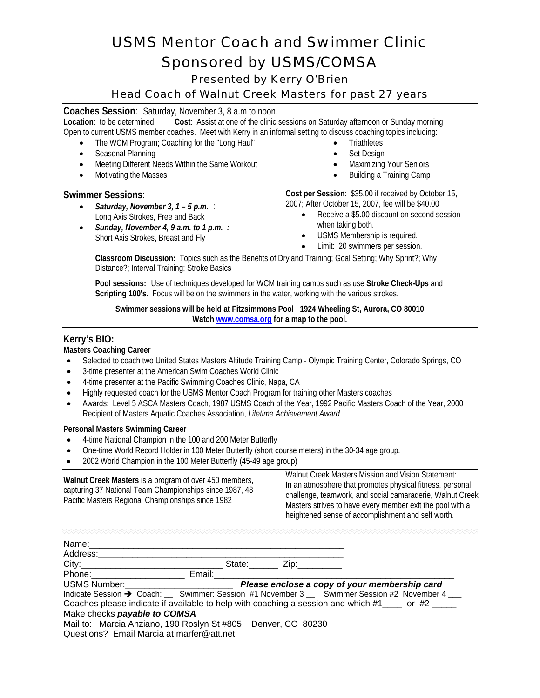### *USMS Mentor Coach and Swimmer Clinic Sponsored by USMS/COMSA*

Presented by Kerry O'Brien

#### Head Coach of Walnut Creek Masters for past 27 years

## **Coaches Session:** Saturday, November 3, 8 a.m to noon.<br>**Location:** to be determined **Cost:** Assist at one of the clinic:

**Cost:** Assist at one of the clinic sessions on Saturday afternoon or Sunday morning Open to current USMS member coaches. Meet with Kerry in an informal setting to discuss coaching topics including:

- The WCM Program; Coaching for the "Long Haul"
- Seasonal Planning
- Meeting Different Needs Within the Same Workout
- Motivating the Masses

#### **Swimmer Sessions**:

- *Saturday, November 3, 1 5 p.m.* : Long Axis Strokes, Free and Back
- *Sunday, November 4, 9 a.m. to 1 p.m. :* Short Axis Strokes, Breast and Fly
- **Triathletes**
- Set Design
- Maximizing Your Seniors
- Building a Training Camp

**Cost per Session**: \$35.00 if received by October 15, 2007; After October 15, 2007, fee will be \$40.00

- Receive a \$5.00 discount on second session when taking both.
- USMS Membership is required.
- Limit: 20 swimmers per session.

**Classroom Discussion:** Topics such as the Benefits of Dryland Training; Goal Setting; Why Sprint?; Why Distance?; Interval Training; Stroke Basics

**Pool sessions:** Use of techniques developed for WCM training camps such as use **Stroke Check-Ups** and **Scripting 100's**. Focus will be on the swimmers in the water, working with the various strokes.

#### **Swimmer sessions will be held at Fitzsimmons Pool 1924 Wheeling St, Aurora, CO 80010 Watch www.comsa.org for a map to the pool.**

#### **Kerry's BIO:**

**Masters Coaching Career** 

- Selected to coach two United States Masters Altitude Training Camp Olympic Training Center, Colorado Springs, CO
- 3-time presenter at the American Swim Coaches World Clinic
- 4-time presenter at the Pacific Swimming Coaches Clinic, Napa, CA
- Highly requested coach for the USMS Mentor Coach Program for training other Masters coaches
- Awards: Level 5 ASCA Masters Coach, 1987 USMS Coach of the Year, 1992 Pacific Masters Coach of the Year, 2000 Recipient of Masters Aquatic Coaches Association, *Lifetime Achievement Award*

#### **Personal Masters Swimming Career**

- 4-time National Champion in the 100 and 200 Meter Butterfly
- One-time World Record Holder in 100 Meter Butterfly (short course meters) in the 30-34 age group.
- 2002 World Champion in the 100 Meter Butterfly (45-49 age group)

**Walnut Creek Masters** is a program of over 450 members, capturing 37 National Team Championships since 1987, 48 Pacific Masters Regional Championships since 1982

Walnut Creek Masters Mission and Vision Statement: In an atmosphere that promotes physical fitness, personal challenge, teamwork, and social camaraderie, Walnut Creek Masters strives to have every member exit the pool with a heightened sense of accomplishment and self worth.

| Name:                                                                                                                                                                                                                          |        |                         |                                                                                                 |
|--------------------------------------------------------------------------------------------------------------------------------------------------------------------------------------------------------------------------------|--------|-------------------------|-------------------------------------------------------------------------------------------------|
| Address:                                                                                                                                                                                                                       |        |                         |                                                                                                 |
|                                                                                                                                                                                                                                |        | State: <u>Zip:</u> Zip: |                                                                                                 |
| Phone:                                                                                                                                                                                                                         | Email: |                         |                                                                                                 |
| USMS Number: Website the Contract of the Contract of the Contract of the Contract of the Contract of the Contract of the Contract of the Contract of the Contract of the Contract of the Contract of the Contract of the Contr |        |                         | Please enclose a copy of your membership card                                                   |
|                                                                                                                                                                                                                                |        |                         | Indicate Session → Coach: __ Swimmer: Session #1 November 3 __ Swimmer Session #2 November 4 __ |
|                                                                                                                                                                                                                                |        |                         | Coaches please indicate if available to help with coaching a session and which $#1$ or $#2$     |
| Make checks payable to COMSA                                                                                                                                                                                                   |        |                         |                                                                                                 |
| Mail to: Marcia Anziano, 190 Roslyn St #805 Denver, CO 80230<br>Questions? Email Marcia at marfer@att.net                                                                                                                      |        |                         |                                                                                                 |